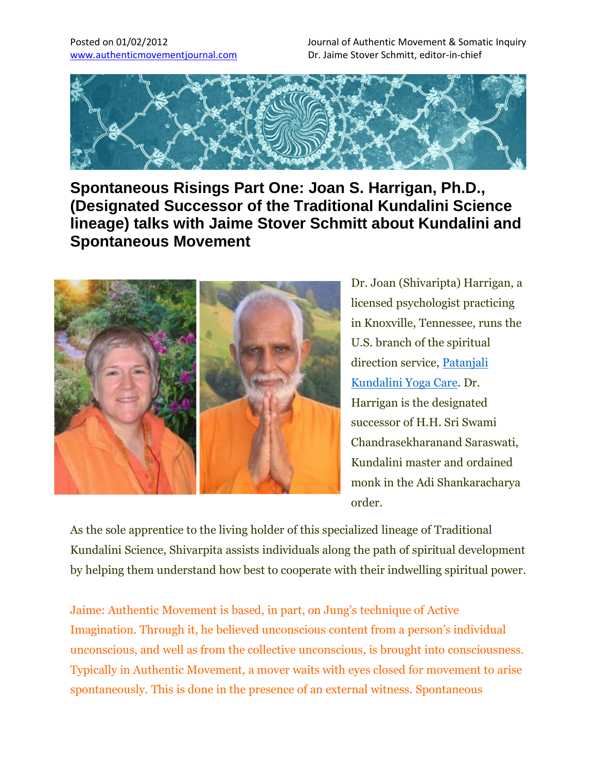Posted on 01/02/2012 Journal of Authentic Movement & Somatic Inquiry www.authenticmovementjournal.com Dr. Jaime Stover Schmitt, editor-in-chief



**Spontaneous Risings Part One: Joan S. Harrigan, Ph.D., (Designated Successor of the Traditional Kundalini Science lineage) talks with Jaime Stover Schmitt about Kundalini and Spontaneous Movement**



Dr. Joan (Shivaripta) Harrigan, a licensed psychologist practicing in Knoxville, Tennessee, runs the U.S. branch of the spiritual direction service, Patanjali Kundalini Yoga Care. Dr. Harrigan is the designated successor of H.H. Sri Swami Chandrasekharanand Saraswati, Kundalini master and ordained monk in the Adi Shankaracharya order.

As the sole apprentice to the living holder of this specialized lineage of Traditional Kundalini Science, Shivarpita assists individuals along the path of spiritual development by helping them understand how best to cooperate with their indwelling spiritual power.

Jaime: Authentic Movement is based, in part, on Jung's technique of Active Imagination. Through it, he believed unconscious content from a person's individual unconscious, and well as from the collective unconscious, is brought into consciousness. Typically in Authentic Movement, a mover waits with eyes closed for movement to arise spontaneously. This is done in the presence of an external witness. Spontaneous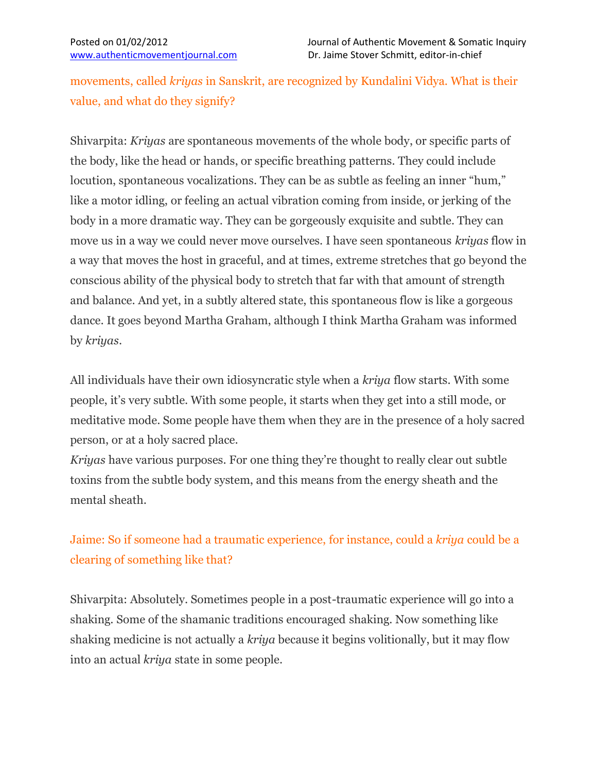movements, called *kriyas* in Sanskrit, are recognized by Kundalini Vidya. What is their value, and what do they signify?

Shivarpita: *Kriyas* are spontaneous movements of the whole body, or specific parts of the body, like the head or hands, or specific breathing patterns. They could include locution, spontaneous vocalizations. They can be as subtle as feeling an inner "hum," like a motor idling, or feeling an actual vibration coming from inside, or jerking of the body in a more dramatic way. They can be gorgeously exquisite and subtle. They can move us in a way we could never move ourselves. I have seen spontaneous *kriyas* flow in a way that moves the host in graceful, and at times, extreme stretches that go beyond the conscious ability of the physical body to stretch that far with that amount of strength and balance. And yet, in a subtly altered state, this spontaneous flow is like a gorgeous dance. It goes beyond Martha Graham, although I think Martha Graham was informed by *kriyas*.

All individuals have their own idiosyncratic style when a *kriya* flow starts. With some people, it's very subtle. With some people, it starts when they get into a still mode, or meditative mode. Some people have them when they are in the presence of a holy sacred person, or at a holy sacred place.

*Kriyas* have various purposes. For one thing they're thought to really clear out subtle toxins from the subtle body system, and this means from the energy sheath and the mental sheath.

# Jaime: So if someone had a traumatic experience, for instance, could a *kriya* could be a clearing of something like that?

Shivarpita: Absolutely. Sometimes people in a post-traumatic experience will go into a shaking. Some of the shamanic traditions encouraged shaking. Now something like shaking medicine is not actually a *kriya* because it begins volitionally, but it may flow into an actual *kriya* state in some people.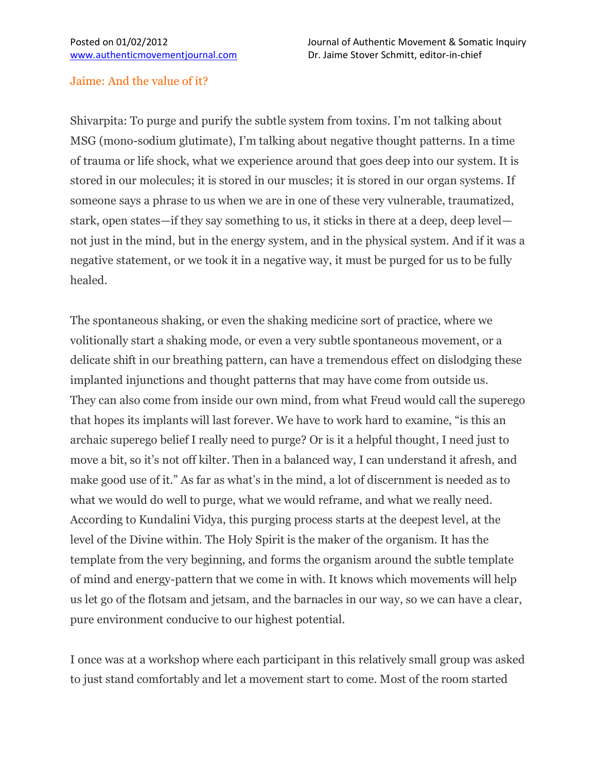### Jaime: And the value of it?

Shivarpita: To purge and purify the subtle system from toxins. I'm not talking about MSG (mono-sodium glutimate), I'm talking about negative thought patterns. In a time of trauma or life shock, what we experience around that goes deep into our system. It is stored in our molecules; it is stored in our muscles; it is stored in our organ systems. If someone says a phrase to us when we are in one of these very vulnerable, traumatized, stark, open states—if they say something to us, it sticks in there at a deep, deep level not just in the mind, but in the energy system, and in the physical system. And if it was a negative statement, or we took it in a negative way, it must be purged for us to be fully healed.

The spontaneous shaking, or even the shaking medicine sort of practice, where we volitionally start a shaking mode, or even a very subtle spontaneous movement, or a delicate shift in our breathing pattern, can have a tremendous effect on dislodging these implanted injunctions and thought patterns that may have come from outside us. They can also come from inside our own mind, from what Freud would call the superego that hopes its implants will last forever. We have to work hard to examine, "is this an archaic superego belief I really need to purge? Or is it a helpful thought, I need just to move a bit, so it's not off kilter. Then in a balanced way, I can understand it afresh, and make good use of it." As far as what's in the mind, a lot of discernment is needed as to what we would do well to purge, what we would reframe, and what we really need. According to Kundalini Vidya, this purging process starts at the deepest level, at the level of the Divine within. The Holy Spirit is the maker of the organism. It has the template from the very beginning, and forms the organism around the subtle template of mind and energy-pattern that we come in with. It knows which movements will help us let go of the flotsam and jetsam, and the barnacles in our way, so we can have a clear, pure environment conducive to our highest potential.

I once was at a workshop where each participant in this relatively small group was asked to just stand comfortably and let a movement start to come. Most of the room started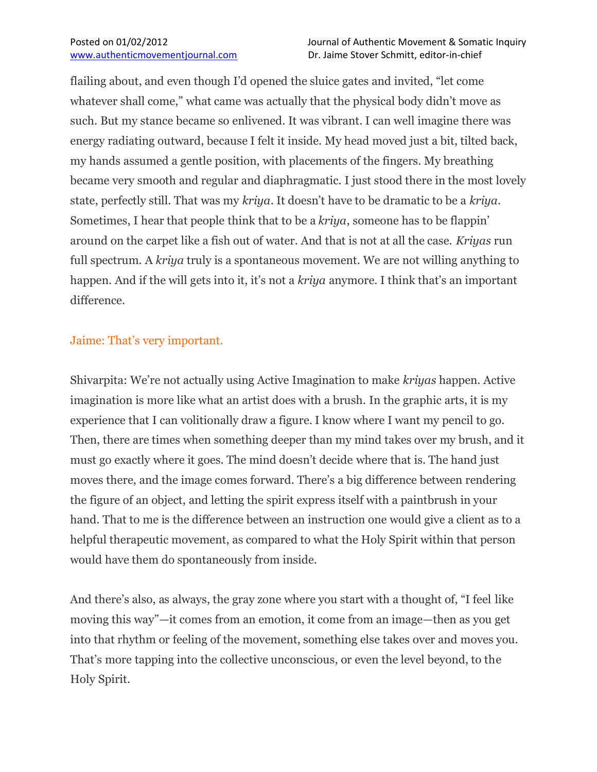flailing about, and even though I'd opened the sluice gates and invited, "let come whatever shall come," what came was actually that the physical body didn't move as such. But my stance became so enlivened. It was vibrant. I can well imagine there was energy radiating outward, because I felt it inside. My head moved just a bit, tilted back, my hands assumed a gentle position, with placements of the fingers. My breathing became very smooth and regular and diaphragmatic. I just stood there in the most lovely state, perfectly still. That was my *kriya*. It doesn't have to be dramatic to be a *kriya*. Sometimes, I hear that people think that to be a *kriya*, someone has to be flappin' around on the carpet like a fish out of water. And that is not at all the case. *Kriyas* run full spectrum. A *kriya* truly is a spontaneous movement. We are not willing anything to happen. And if the will gets into it, it's not a *kriya* anymore. I think that's an important difference.

### Jaime: That's very important.

Shivarpita: We're not actually using Active Imagination to make *kriyas* happen. Active imagination is more like what an artist does with a brush. In the graphic arts, it is my experience that I can volitionally draw a figure. I know where I want my pencil to go. Then, there are times when something deeper than my mind takes over my brush, and it must go exactly where it goes. The mind doesn't decide where that is. The hand just moves there, and the image comes forward. There's a big difference between rendering the figure of an object, and letting the spirit express itself with a paintbrush in your hand. That to me is the difference between an instruction one would give a client as to a helpful therapeutic movement, as compared to what the Holy Spirit within that person would have them do spontaneously from inside.

And there's also, as always, the gray zone where you start with a thought of, "I feel like moving this way"—it comes from an emotion, it come from an image—then as you get into that rhythm or feeling of the movement, something else takes over and moves you. That's more tapping into the collective unconscious, or even the level beyond, to the Holy Spirit.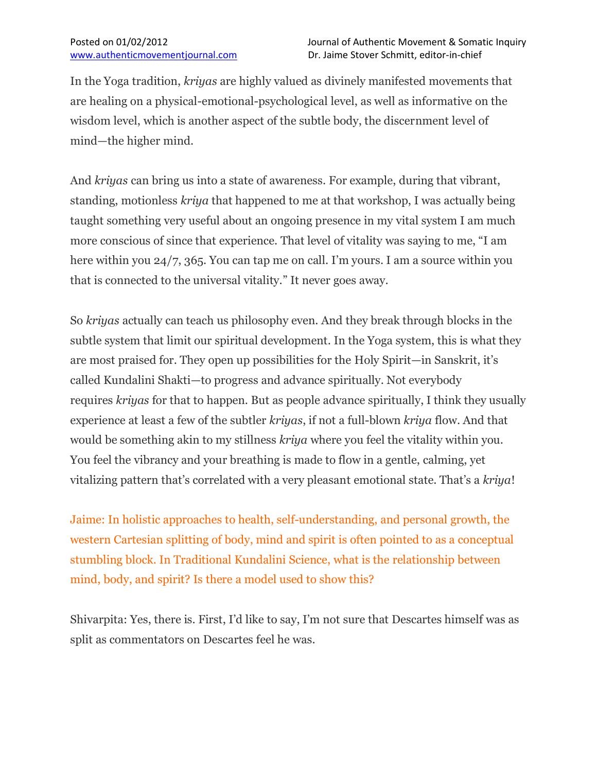In the Yoga tradition, *kriyas* are highly valued as divinely manifested movements that are healing on a physical-emotional-psychological level, as well as informative on the wisdom level, which is another aspect of the subtle body, the discernment level of mind—the higher mind.

And *kriyas* can bring us into a state of awareness. For example, during that vibrant, standing, motionless *kriya* that happened to me at that workshop, I was actually being taught something very useful about an ongoing presence in my vital system I am much more conscious of since that experience. That level of vitality was saying to me, "I am here within you 24/7, 365. You can tap me on call. I'm yours. I am a source within you that is connected to the universal vitality." It never goes away.

So *kriyas* actually can teach us philosophy even. And they break through blocks in the subtle system that limit our spiritual development. In the Yoga system, this is what they are most praised for. They open up possibilities for the Holy Spirit—in Sanskrit, it's called Kundalini Shakti—to progress and advance spiritually. Not everybody requires *kriyas* for that to happen. But as people advance spiritually, I think they usually experience at least a few of the subtler *kriyas*, if not a full-blown *kriya* flow. And that would be something akin to my stillness *kriya* where you feel the vitality within you. You feel the vibrancy and your breathing is made to flow in a gentle, calming, yet vitalizing pattern that's correlated with a very pleasant emotional state. That's a *kriya*!

Jaime: In holistic approaches to health, self-understanding, and personal growth, the western Cartesian splitting of body, mind and spirit is often pointed to as a conceptual stumbling block. In Traditional Kundalini Science, what is the relationship between mind, body, and spirit? Is there a model used to show this?

Shivarpita: Yes, there is. First, I'd like to say, I'm not sure that Descartes himself was as split as commentators on Descartes feel he was.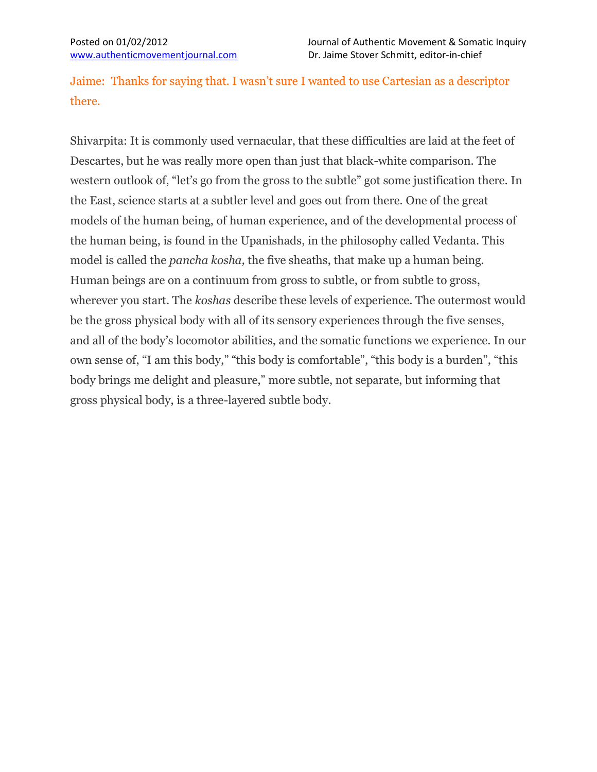Jaime: Thanks for saying that. I wasn't sure I wanted to use Cartesian as a descriptor there.

Shivarpita: It is commonly used vernacular, that these difficulties are laid at the feet of Descartes, but he was really more open than just that black-white comparison. The western outlook of, "let's go from the gross to the subtle" got some justification there. In the East, science starts at a subtler level and goes out from there. One of the great models of the human being, of human experience, and of the developmental process of the human being, is found in the Upanishads, in the philosophy called Vedanta. This model is called the *pancha kosha,* the five sheaths, that make up a human being. Human beings are on a continuum from gross to subtle, or from subtle to gross, wherever you start. The *koshas* describe these levels of experience. The outermost would be the gross physical body with all of its sensory experiences through the five senses, and all of the body's locomotor abilities, and the somatic functions we experience. In our own sense of, "I am this body," "this body is comfortable", "this body is a burden", "this body brings me delight and pleasure," more subtle, not separate, but informing that gross physical body, is a three-layered subtle body.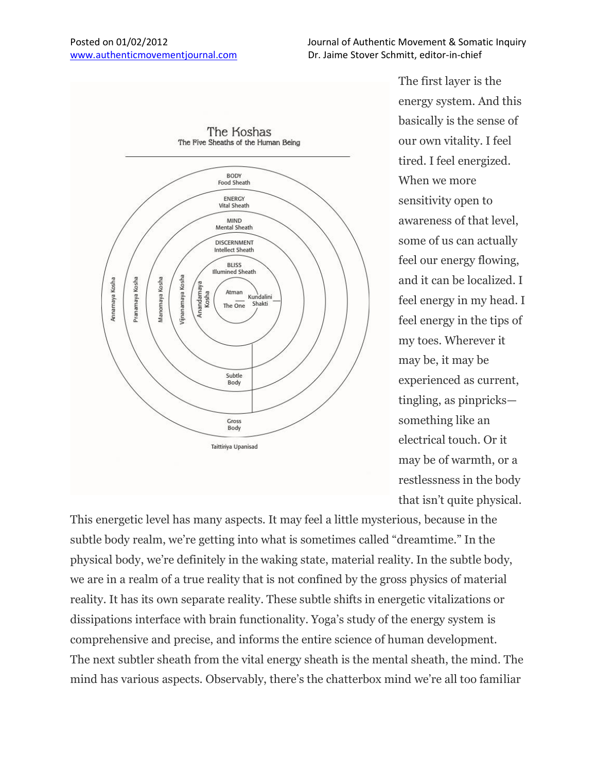

The first layer is the energy system. And this basically is the sense of our own vitality. I feel tired. I feel energized. When we more sensitivity open to awareness of that level, some of us can actually feel our energy flowing, and it can be localized. I feel energy in my head. I feel energy in the tips of my toes. Wherever it may be, it may be experienced as current, tingling, as pinpricks something like an electrical touch. Or it may be of warmth, or a restlessness in the body that isn't quite physical.

This energetic level has many aspects. It may feel a little mysterious, because in the subtle body realm, we're getting into what is sometimes called "dreamtime." In the physical body, we're definitely in the waking state, material reality. In the subtle body, we are in a realm of a true reality that is not confined by the gross physics of material reality. It has its own separate reality. These subtle shifts in energetic vitalizations or dissipations interface with brain functionality. Yoga's study of the energy system is comprehensive and precise, and informs the entire science of human development. The next subtler sheath from the vital energy sheath is the mental sheath, the mind. The mind has various aspects. Observably, there's the chatterbox mind we're all too familiar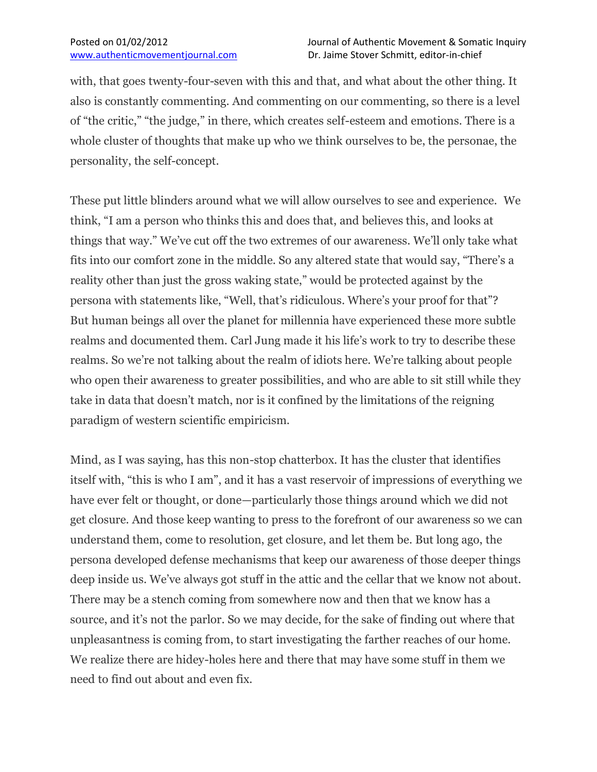with, that goes twenty-four-seven with this and that, and what about the other thing. It also is constantly commenting. And commenting on our commenting, so there is a level of "the critic," "the judge," in there, which creates self-esteem and emotions. There is a whole cluster of thoughts that make up who we think ourselves to be, the personae, the personality, the self-concept.

These put little blinders around what we will allow ourselves to see and experience. We think, "I am a person who thinks this and does that, and believes this, and looks at things that way." We've cut off the two extremes of our awareness. We'll only take what fits into our comfort zone in the middle. So any altered state that would say, "There's a reality other than just the gross waking state," would be protected against by the persona with statements like, "Well, that's ridiculous. Where's your proof for that"? But human beings all over the planet for millennia have experienced these more subtle realms and documented them. Carl Jung made it his life's work to try to describe these realms. So we're not talking about the realm of idiots here. We're talking about people who open their awareness to greater possibilities, and who are able to sit still while they take in data that doesn't match, nor is it confined by the limitations of the reigning paradigm of western scientific empiricism.

Mind, as I was saying, has this non-stop chatterbox. It has the cluster that identifies itself with, "this is who I am", and it has a vast reservoir of impressions of everything we have ever felt or thought, or done—particularly those things around which we did not get closure. And those keep wanting to press to the forefront of our awareness so we can understand them, come to resolution, get closure, and let them be. But long ago, the persona developed defense mechanisms that keep our awareness of those deeper things deep inside us. We've always got stuff in the attic and the cellar that we know not about. There may be a stench coming from somewhere now and then that we know has a source, and it's not the parlor. So we may decide, for the sake of finding out where that unpleasantness is coming from, to start investigating the farther reaches of our home. We realize there are hidey-holes here and there that may have some stuff in them we need to find out about and even fix.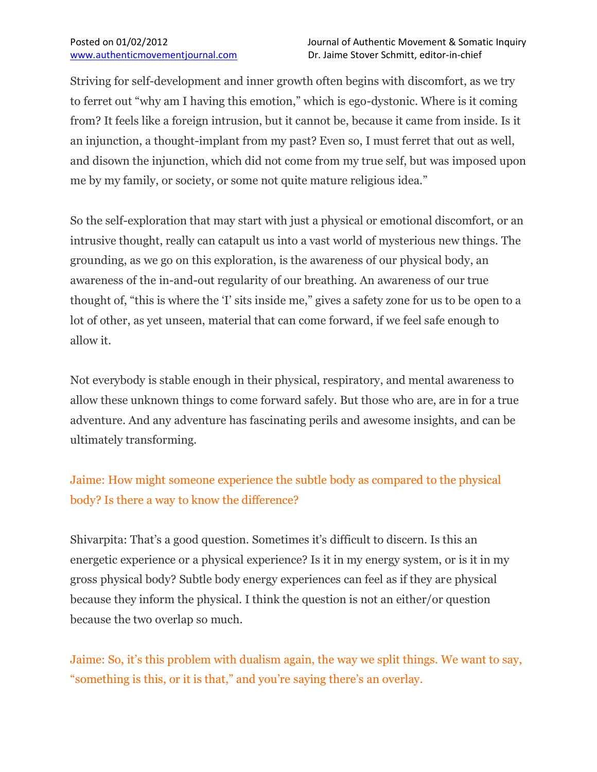Striving for self-development and inner growth often begins with discomfort, as we try to ferret out "why am I having this emotion," which is ego-dystonic. Where is it coming from? It feels like a foreign intrusion, but it cannot be, because it came from inside. Is it an injunction, a thought-implant from my past? Even so, I must ferret that out as well, and disown the injunction, which did not come from my true self, but was imposed upon me by my family, or society, or some not quite mature religious idea."

So the self-exploration that may start with just a physical or emotional discomfort, or an intrusive thought, really can catapult us into a vast world of mysterious new things. The grounding, as we go on this exploration, is the awareness of our physical body, an awareness of the in-and-out regularity of our breathing. An awareness of our true thought of, "this is where the 'I' sits inside me," gives a safety zone for us to be open to a lot of other, as yet unseen, material that can come forward, if we feel safe enough to allow it.

Not everybody is stable enough in their physical, respiratory, and mental awareness to allow these unknown things to come forward safely. But those who are, are in for a true adventure. And any adventure has fascinating perils and awesome insights, and can be ultimately transforming.

## Jaime: How might someone experience the subtle body as compared to the physical body? Is there a way to know the difference?

Shivarpita: That's a good question. Sometimes it's difficult to discern. Is this an energetic experience or a physical experience? Is it in my energy system, or is it in my gross physical body? Subtle body energy experiences can feel as if they are physical because they inform the physical. I think the question is not an either/or question because the two overlap so much.

Jaime: So, it's this problem with dualism again, the way we split things. We want to say, "something is this, or it is that," and you're saying there's an overlay.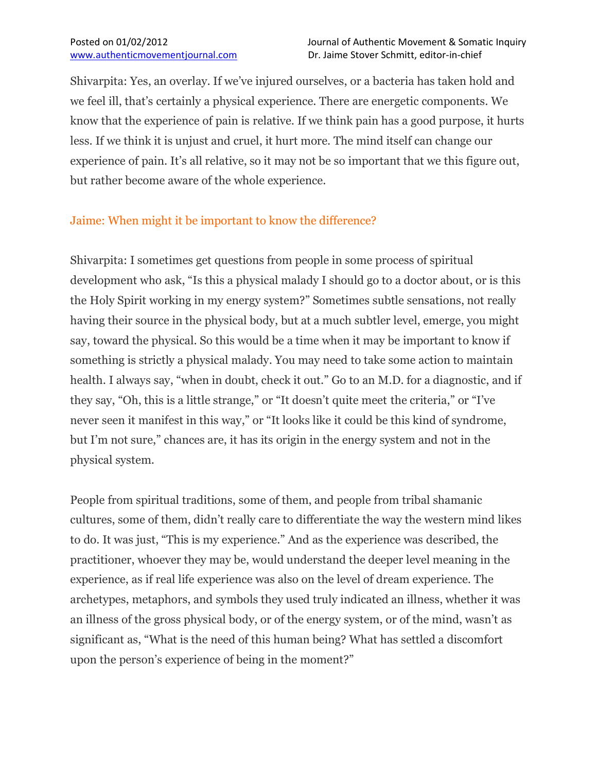Shivarpita: Yes, an overlay. If we've injured ourselves, or a bacteria has taken hold and we feel ill, that's certainly a physical experience. There are energetic components. We know that the experience of pain is relative. If we think pain has a good purpose, it hurts less. If we think it is unjust and cruel, it hurt more. The mind itself can change our experience of pain. It's all relative, so it may not be so important that we this figure out, but rather become aware of the whole experience.

## Jaime: When might it be important to know the difference?

Shivarpita: I sometimes get questions from people in some process of spiritual development who ask, "Is this a physical malady I should go to a doctor about, or is this the Holy Spirit working in my energy system?" Sometimes subtle sensations, not really having their source in the physical body, but at a much subtler level, emerge, you might say, toward the physical. So this would be a time when it may be important to know if something is strictly a physical malady. You may need to take some action to maintain health. I always say, "when in doubt, check it out." Go to an M.D. for a diagnostic, and if they say, "Oh, this is a little strange," or "It doesn't quite meet the criteria," or "I've never seen it manifest in this way," or "It looks like it could be this kind of syndrome, but I'm not sure," chances are, it has its origin in the energy system and not in the physical system.

People from spiritual traditions, some of them, and people from tribal shamanic cultures, some of them, didn't really care to differentiate the way the western mind likes to do. It was just, "This is my experience." And as the experience was described, the practitioner, whoever they may be, would understand the deeper level meaning in the experience, as if real life experience was also on the level of dream experience. The archetypes, metaphors, and symbols they used truly indicated an illness, whether it was an illness of the gross physical body, or of the energy system, or of the mind, wasn't as significant as, "What is the need of this human being? What has settled a discomfort upon the person's experience of being in the moment?"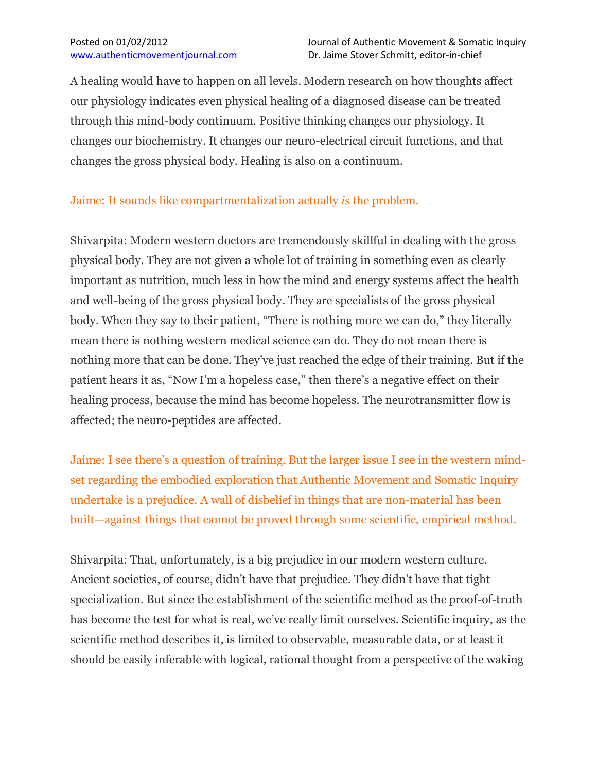A healing would have to happen on all levels. Modern research on how thoughts affect our physiology indicates even physical healing of a diagnosed disease can be treated through this mind-body continuum. Positive thinking changes our physiology. It changes our biochemistry. It changes our neuro-electrical circuit functions, and that changes the gross physical body. Healing is also on a continuum.

## Jaime: It sounds like compartmentalization actually *is* the problem.

Shivarpita: Modern western doctors are tremendously skillful in dealing with the gross physical body. They are not given a whole lot of training in something even as clearly important as nutrition, much less in how the mind and energy systems affect the health and well-being of the gross physical body. They are specialists of the gross physical body. When they say to their patient, "There is nothing more we can do," they literally mean there is nothing western medical science can do. They do not mean there is nothing more that can be done. They've just reached the edge of their training. But if the patient hears it as, "Now I'm a hopeless case," then there's a negative effect on their healing process, because the mind has become hopeless. The neurotransmitter flow is affected; the neuro-peptides are affected.

Jaime: I see there's a question of training. But the larger issue I see in the western mindset regarding the embodied exploration that Authentic Movement and Somatic Inquiry undertake is a prejudice. A wall of disbelief in things that are non-material has been built—against things that cannot be proved through some scientific, empirical method.

Shivarpita: That, unfortunately, is a big prejudice in our modern western culture. Ancient societies, of course, didn't have that prejudice. They didn't have that tight specialization. But since the establishment of the scientific method as the proof-of-truth has become the test for what is real, we've really limit ourselves. Scientific inquiry, as the scientific method describes it, is limited to observable, measurable data, or at least it should be easily inferable with logical, rational thought from a perspective of the waking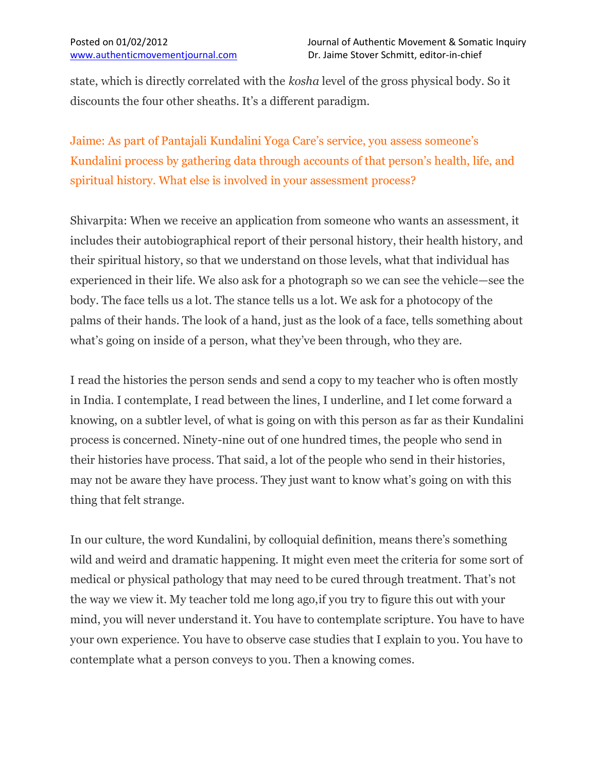state, which is directly correlated with the *kosha* level of the gross physical body. So it discounts the four other sheaths. It's a different paradigm.

Jaime: As part of Pantajali Kundalini Yoga Care's service, you assess someone's Kundalini process by gathering data through accounts of that person's health, life, and spiritual history. What else is involved in your assessment process?

Shivarpita: When we receive an application from someone who wants an assessment, it includes their autobiographical report of their personal history, their health history, and their spiritual history, so that we understand on those levels, what that individual has experienced in their life. We also ask for a photograph so we can see the vehicle—see the body. The face tells us a lot. The stance tells us a lot. We ask for a photocopy of the palms of their hands. The look of a hand, just as the look of a face, tells something about what's going on inside of a person, what they've been through, who they are.

I read the histories the person sends and send a copy to my teacher who is often mostly in India. I contemplate, I read between the lines, I underline, and I let come forward a knowing, on a subtler level, of what is going on with this person as far as their Kundalini process is concerned. Ninety-nine out of one hundred times, the people who send in their histories have process. That said, a lot of the people who send in their histories, may not be aware they have process. They just want to know what's going on with this thing that felt strange.

In our culture, the word Kundalini, by colloquial definition, means there's something wild and weird and dramatic happening. It might even meet the criteria for some sort of medical or physical pathology that may need to be cured through treatment. That's not the way we view it. My teacher told me long ago,if you try to figure this out with your mind, you will never understand it. You have to contemplate scripture. You have to have your own experience. You have to observe case studies that I explain to you. You have to contemplate what a person conveys to you. Then a knowing comes.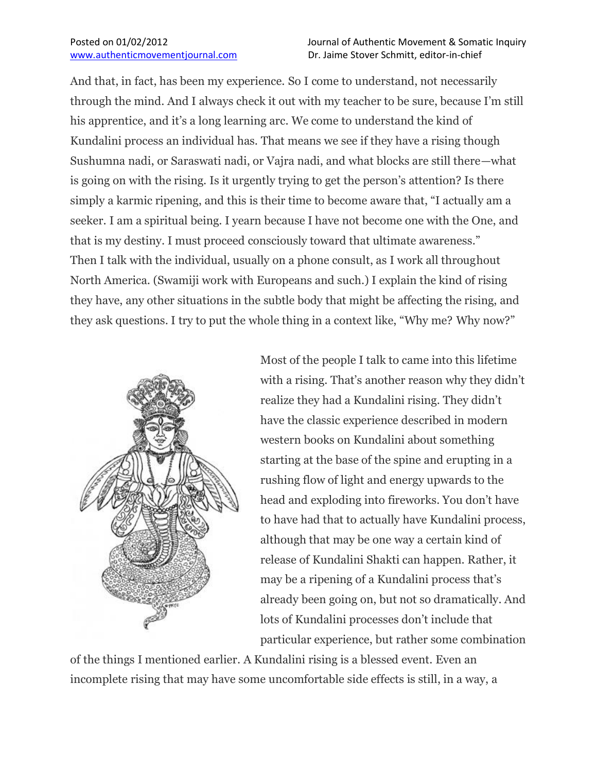And that, in fact, has been my experience. So I come to understand, not necessarily through the mind. And I always check it out with my teacher to be sure, because I'm still his apprentice, and it's a long learning arc. We come to understand the kind of Kundalini process an individual has. That means we see if they have a rising though Sushumna nadi, or Saraswati nadi, or Vajra nadi, and what blocks are still there—what is going on with the rising. Is it urgently trying to get the person's attention? Is there simply a karmic ripening, and this is their time to become aware that, "I actually am a seeker. I am a spiritual being. I yearn because I have not become one with the One, and that is my destiny. I must proceed consciously toward that ultimate awareness." Then I talk with the individual, usually on a phone consult, as I work all throughout North America. (Swamiji work with Europeans and such.) I explain the kind of rising they have, any other situations in the subtle body that might be affecting the rising, and they ask questions. I try to put the whole thing in a context like, "Why me? Why now?"



Most of the people I talk to came into this lifetime with a rising. That's another reason why they didn't realize they had a Kundalini rising. They didn't have the classic experience described in modern western books on Kundalini about something starting at the base of the spine and erupting in a rushing flow of light and energy upwards to the head and exploding into fireworks. You don't have to have had that to actually have Kundalini process, although that may be one way a certain kind of release of Kundalini Shakti can happen. Rather, it may be a ripening of a Kundalini process that's already been going on, but not so dramatically. And lots of Kundalini processes don't include that particular experience, but rather some combination

of the things I mentioned earlier. A Kundalini rising is a blessed event. Even an incomplete rising that may have some uncomfortable side effects is still, in a way, a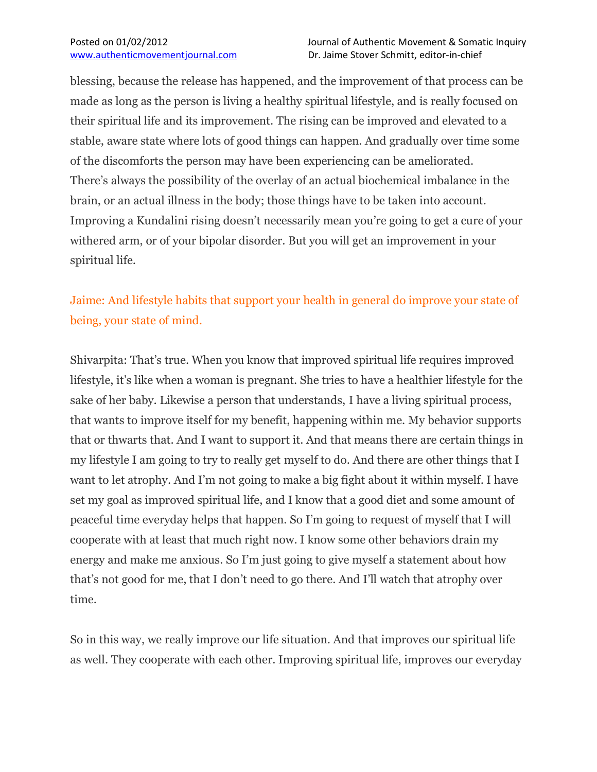blessing, because the release has happened, and the improvement of that process can be made as long as the person is living a healthy spiritual lifestyle, and is really focused on their spiritual life and its improvement. The rising can be improved and elevated to a stable, aware state where lots of good things can happen. And gradually over time some of the discomforts the person may have been experiencing can be ameliorated. There's always the possibility of the overlay of an actual biochemical imbalance in the brain, or an actual illness in the body; those things have to be taken into account. Improving a Kundalini rising doesn't necessarily mean you're going to get a cure of your withered arm, or of your bipolar disorder. But you will get an improvement in your spiritual life.

# Jaime: And lifestyle habits that support your health in general do improve your state of being, your state of mind.

Shivarpita: That's true. When you know that improved spiritual life requires improved lifestyle, it's like when a woman is pregnant. She tries to have a healthier lifestyle for the sake of her baby. Likewise a person that understands, I have a living spiritual process, that wants to improve itself for my benefit, happening within me. My behavior supports that or thwarts that. And I want to support it. And that means there are certain things in my lifestyle I am going to try to really get myself to do. And there are other things that I want to let atrophy. And I'm not going to make a big fight about it within myself. I have set my goal as improved spiritual life, and I know that a good diet and some amount of peaceful time everyday helps that happen. So I'm going to request of myself that I will cooperate with at least that much right now. I know some other behaviors drain my energy and make me anxious. So I'm just going to give myself a statement about how that's not good for me, that I don't need to go there. And I'll watch that atrophy over time.

So in this way, we really improve our life situation. And that improves our spiritual life as well. They cooperate with each other. Improving spiritual life, improves our everyday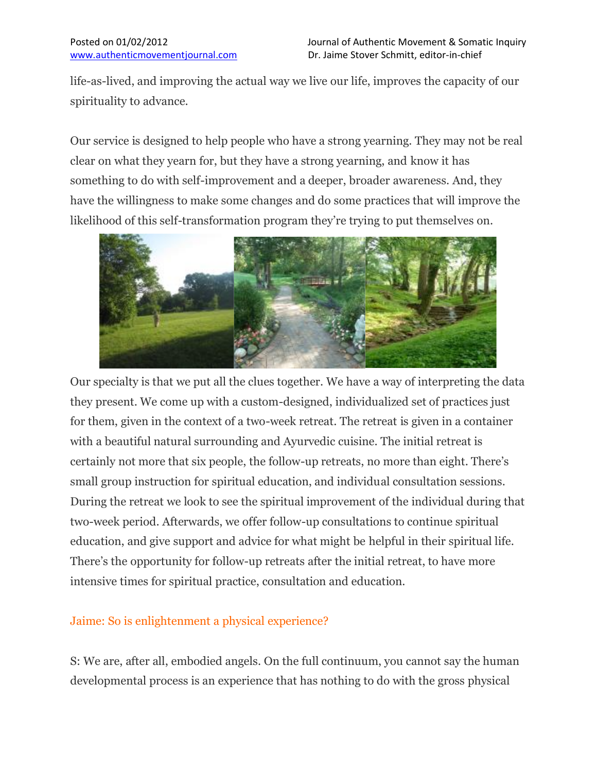life-as-lived, and improving the actual way we live our life, improves the capacity of our spirituality to advance.

Our service is designed to help people who have a strong yearning. They may not be real clear on what they yearn for, but they have a strong yearning, and know it has something to do with self-improvement and a deeper, broader awareness. And, they have the willingness to make some changes and do some practices that will improve the likelihood of this self-transformation program they're trying to put themselves on.



Our specialty is that we put all the clues together. We have a way of interpreting the data they present. We come up with a custom-designed, individualized set of practices just for them, given in the context of a two-week retreat. The retreat is given in a container with a beautiful natural surrounding and Ayurvedic cuisine. The initial retreat is certainly not more that six people, the follow-up retreats, no more than eight. There's small group instruction for spiritual education, and individual consultation sessions. During the retreat we look to see the spiritual improvement of the individual during that two-week period. Afterwards, we offer follow-up consultations to continue spiritual education, and give support and advice for what might be helpful in their spiritual life. There's the opportunity for follow-up retreats after the initial retreat, to have more intensive times for spiritual practice, consultation and education.

## Jaime: So is enlightenment a physical experience?

S: We are, after all, embodied angels. On the full continuum, you cannot say the human developmental process is an experience that has nothing to do with the gross physical